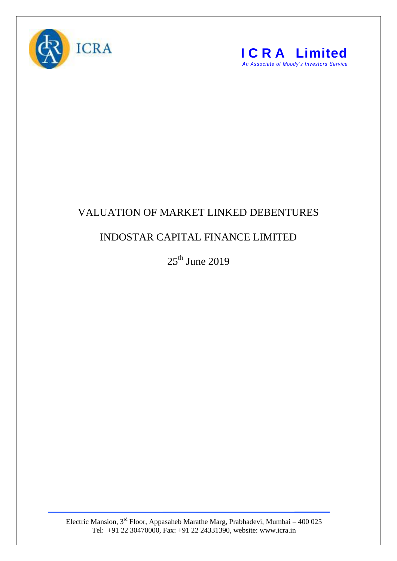



## VALUATION OF MARKET LINKED DEBENTURES

## INDOSTAR CAPITAL FINANCE LIMITED

 $25<sup>th</sup>$  June 2019

Electric Mansion,  $3<sup>rd</sup>$  Floor, Appasaheb Marathe Marg, Prabhadevi, Mumbai – 400 025 Tel: +91 22 30470000, Fax: +91 22 24331390, website: www.icra.in